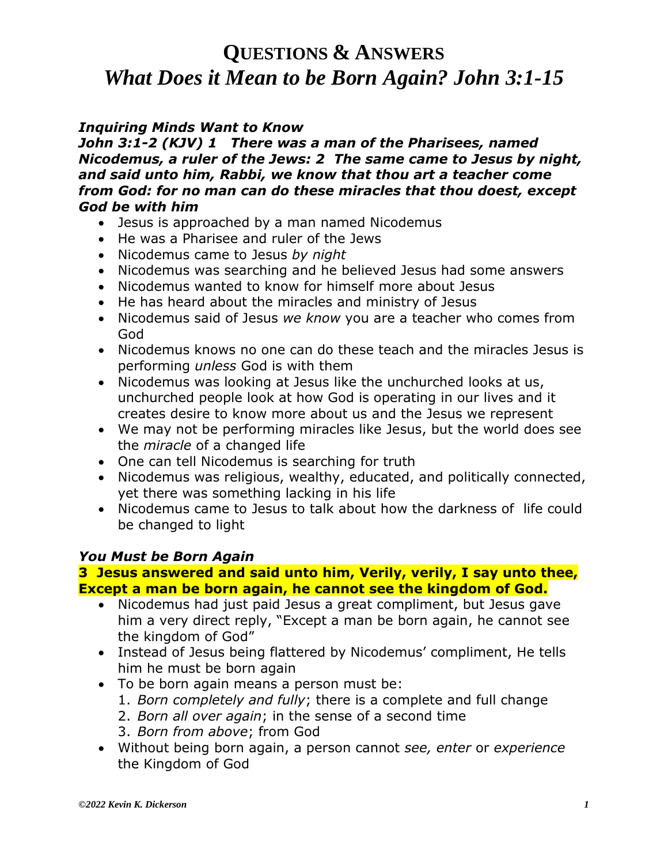### *Inquiring Minds Want to Know*

*John 3:1-2 (KJV) 1 There was a man of the Pharisees, named Nicodemus, a ruler of the Jews: 2 The same came to Jesus by night, and said unto him, Rabbi, we know that thou art a teacher come from God: for no man can do these miracles that thou doest, except God be with him*

- Jesus is approached by a man named Nicodemus
- He was a Pharisee and ruler of the Jews
- Nicodemus came to Jesus *by night*
- Nicodemus was searching and he believed Jesus had some answers
- Nicodemus wanted to know for himself more about Jesus
- He has heard about the miracles and ministry of Jesus
- Nicodemus said of Jesus *we know* you are a teacher who comes from God
- Nicodemus knows no one can do these teach and the miracles Jesus is performing *unless* God is with them
- Nicodemus was looking at Jesus like the unchurched looks at us, unchurched people look at how God is operating in our lives and it creates desire to know more about us and the Jesus we represent
- We may not be performing miracles like Jesus, but the world does see the *miracle* of a changed life
- One can tell Nicodemus is searching for truth
- Nicodemus was religious, wealthy, educated, and politically connected, yet there was something lacking in his life
- Nicodemus came to Jesus to talk about how the darkness of life could be changed to light

#### *You Must be Born Again*

#### **3 Jesus answered and said unto him, Verily, verily, I say unto thee, Except a man be born again, he cannot see the kingdom of God.**

- Nicodemus had just paid Jesus a great compliment, but Jesus gave him a very direct reply, "Except a man be born again, he cannot see the kingdom of God"
- Instead of Jesus being flattered by Nicodemus' compliment, He tells him he must be born again
- To be born again means a person must be:
	- 1. *Born completely and fully*; there is a complete and full change
	- 2. *Born all over again*; in the sense of a second time
	- 3. *Born from above*; from God
- Without being born again, a person cannot *see, enter* or *experience* the Kingdom of God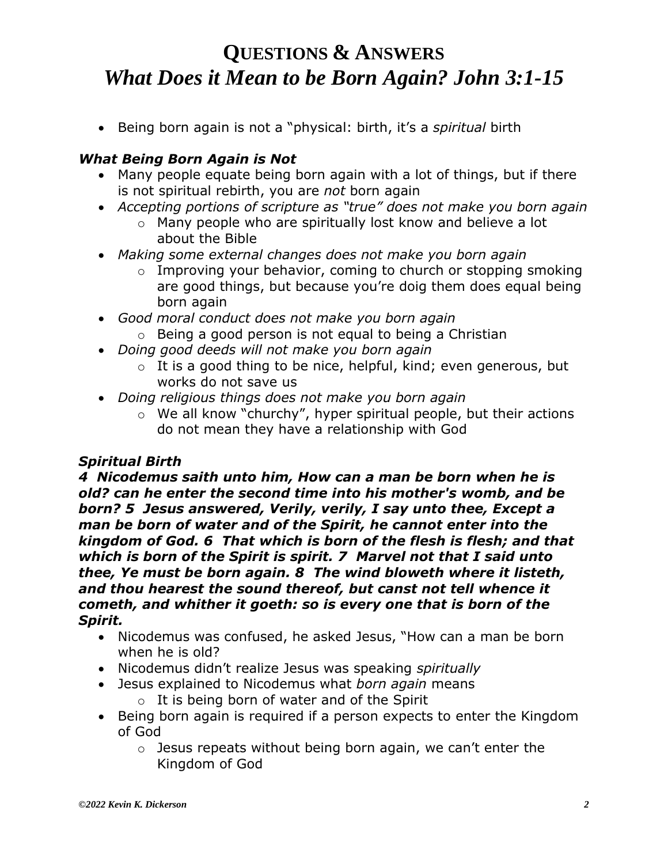• Being born again is not a "physical: birth, it's a *spiritual* birth

### *What Being Born Again is Not*

- Many people equate being born again with a lot of things, but if there is not spiritual rebirth, you are *not* born again
- *Accepting portions of scripture as "true" does not make you born again*
	- o Many people who are spiritually lost know and believe a lot about the Bible
- *Making some external changes does not make you born again*
	- o Improving your behavior, coming to church or stopping smoking are good things, but because you're doig them does equal being born again
- *Good moral conduct does not make you born again* 
	- o Being a good person is not equal to being a Christian
- *Doing good deeds will not make you born again*
	- $\circ$  It is a good thing to be nice, helpful, kind; even generous, but works do not save us
- *Doing religious things does not make you born again*
	- o We all know "churchy", hyper spiritual people, but their actions do not mean they have a relationship with God

### *Spiritual Birth*

*4 Nicodemus saith unto him, How can a man be born when he is old? can he enter the second time into his mother's womb, and be born? 5 Jesus answered, Verily, verily, I say unto thee, Except a man be born of water and of the Spirit, he cannot enter into the kingdom of God. 6 That which is born of the flesh is flesh; and that which is born of the Spirit is spirit. 7 Marvel not that I said unto thee, Ye must be born again. 8 The wind bloweth where it listeth, and thou hearest the sound thereof, but canst not tell whence it cometh, and whither it goeth: so is every one that is born of the Spirit.* 

- Nicodemus was confused, he asked Jesus, "How can a man be born when he is old?
- Nicodemus didn't realize Jesus was speaking *spiritually*
- Jesus explained to Nicodemus what *born again* means  $\circ$  It is being born of water and of the Spirit
- Being born again is required if a person expects to enter the Kingdom of God
	- $\circ$  Jesus repeats without being born again, we can't enter the Kingdom of God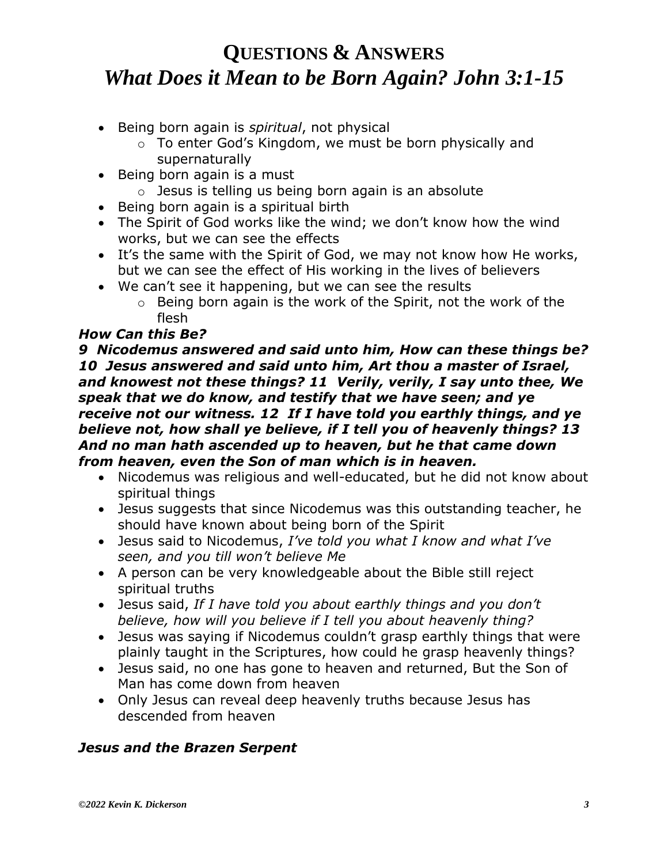- Being born again is *spiritual*, not physical
	- o To enter God's Kingdom, we must be born physically and supernaturally
- Being born again is a must
	- $\circ$  Jesus is telling us being born again is an absolute
- Being born again is a spiritual birth
- The Spirit of God works like the wind; we don't know how the wind works, but we can see the effects
- It's the same with the Spirit of God, we may not know how He works, but we can see the effect of His working in the lives of believers
- We can't see it happening, but we can see the results
	- o Being born again is the work of the Spirit, not the work of the flesh

#### *How Can this Be?*

*9 Nicodemus answered and said unto him, How can these things be? 10 Jesus answered and said unto him, Art thou a master of Israel, and knowest not these things? 11 Verily, verily, I say unto thee, We speak that we do know, and testify that we have seen; and ye receive not our witness. 12 If I have told you earthly things, and ye believe not, how shall ye believe, if I tell you of heavenly things? 13 And no man hath ascended up to heaven, but he that came down from heaven, even the Son of man which is in heaven.*

- Nicodemus was religious and well-educated, but he did not know about spiritual things
- Jesus suggests that since Nicodemus was this outstanding teacher, he should have known about being born of the Spirit
- Jesus said to Nicodemus, *I've told you what I know and what I've seen, and you till won't believe Me*
- A person can be very knowledgeable about the Bible still reject spiritual truths
- Jesus said, *If I have told you about earthly things and you don't believe, how will you believe if I tell you about heavenly thing?*
- Jesus was saying if Nicodemus couldn't grasp earthly things that were plainly taught in the Scriptures, how could he grasp heavenly things?
- Jesus said, no one has gone to heaven and returned, But the Son of Man has come down from heaven
- Only Jesus can reveal deep heavenly truths because Jesus has descended from heaven

### *Jesus and the Brazen Serpent*